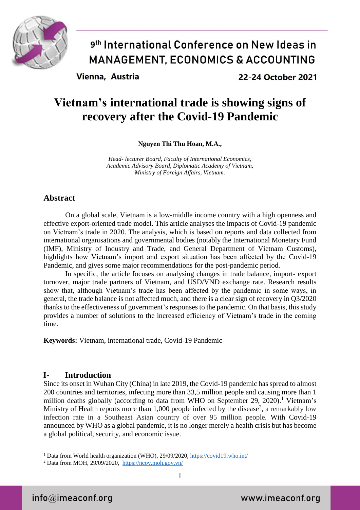

Vienna, Austria

22-24 October 2021

### **Vietnam's international trade is showing signs of recovery after the Covid-19 Pandemic**

**Nguyen Thi Thu Hoan, M.A.,**

*Head- lecturer Board, Faculty of International Economics, Academic Advisory Board, Diplomatic Academy of Vietnam, Ministry of Foreign Affairs, Vietnam.*

### **Abstract**

On a global scale, Vietnam is a low-middle income country with a high openness and effective export-oriented trade model. This article analyses the impacts of Covid-19 pandemic on Vietnam's trade in 2020. The analysis, which is based on reports and data collected from international organisations and governmental bodies (notably the International Monetary Fund (IMF), Ministry of Industry and Trade, and General Department of Vietnam Customs), highlights how Vietnam's import and export situation has been affected by the Covid-19 Pandemic, and gives some major recommendations for the post-pandemic period.

In specific, the article focuses on analysing changes in trade balance, import- export turnover, major trade partners of Vietnam, and USD/VND exchange rate. Research results show that, although Vietnam's trade has been affected by the pandemic in some ways, in general, the trade balance is not affected much, and there is a clear sign of recovery in Q3/2020 thanks to the effectiveness of government's responses to the pandemic. On that basis, this study provides a number of solutions to the increased efficiency of Vietnam's trade in the coming time.

**Keywords:** Vietnam, international trade, Covid-19 Pandemic

### **I- Introduction**

Since its onset in Wuhan City (China) in late 2019, the Covid-19 pandemic has spread to almost 200 countries and territories, infecting more than 33,5 million people and causing more than 1 million deaths globally (according to data from WHO on September 29, 2020).<sup>1</sup> Vietnam's Ministry of Health reports more than  $1,000$  people infected by the disease<sup>2</sup>, a remarkably low infection rate in a Southeast Asian country of over 95 million people. With Covid-19 announced by WHO as a global pandemic, it is no longer merely a health crisis but has become a global political, security, and economic issue.

<sup>1</sup> <sup>1</sup> Data from World health organization (WHO), 29/09/2020[, https://covid19.who.int/](https://covid19.who.int/)

 $2$  Data from MOH, 29/09/2020, <https://ncov.moh.gov.vn/>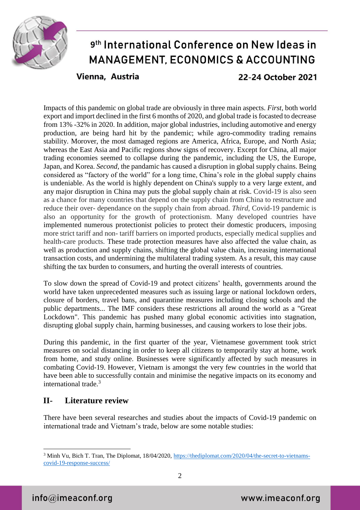

### 9th International Conference on New Ideas in **MANAGEMENT, ECONOMICS & ACCOUNTING** Vienna, Austria 22-24 October 2021

Impacts of this pandemic on global trade are obviously in three main aspects. *First,* both world export and import declined in the first 6 months of 2020, and global trade is focasted to decrease from 13% -32% in 2020. In addition, major global industries, including automotive and energy production, are being hard hit by the pandemic; while agro-commodity trading remains stability. Morover, the most damaged regions are America, Africa, Europe, and North Asia; whereas the East Asia and Pacific regions show signs of recovery. Except for China, all major trading economies seemed to collapse during the pandemic, including the US, the Europe, Japan, and Korea. *Second,* the pandamic has caused a disruption in global supply chains. Being considered as "factory of the world" for a long time, China's role in the global supply chains is undeniable. As the world is highly dependent on China's supply to a very large extent, and any major disruption in China may puts the global supply chain at risk. Covid-19 is also seen as a chance for many countries that depend on the supply chain from China to restructure and reduce their over- dependance on the supply chain from abroad. *Third,* Covid-19 pandemic is also an opportunity for the growth of protectionism. Many developed countries have implemented numerous protectionist policies to protect their domestic producers, imposing more strict tariff and non- tariff barriers on imported products, especially medical supplies and health-care products. These trade protection measures have also affected the value chain, as well as production and supply chains, shifting the global value chain, increasing international transaction costs, and undermining the multilateral trading system. As a result, this may cause shifting the tax burden to consumers, and hurting the overall interests of countries.

To slow down the spread of Covid-19 and protect citizens' health, governments around the world have taken unprecedented measures such as issuing large or national lockdown orders, closure of borders, travel bans, and quarantine measures including closing schools and the public departments... The IMF considers these restrictions all around the world as a "Great Lockdown". This pandemic has pushed many global economic activities into stagnation, disrupting global supply chain, harming businesses, and causing workers to lose their jobs.

During this pandemic, in the first quarter of the year, Vietnamese government took strict measures on social distancing in order to keep all citizens to temporarily stay at home, work from home, and study online. Businesses were significantly affected by such measures in combating Covid-19. However, Vietnam is amongst the very few countries in the world that have been able to successfully contain and minimise the negative impacts on its economy and international trade. 3

### **II- Literature review**

There have been several researches and studies about the impacts of Covid-19 pandemic on international trade and Vietnam's trade, below are some notable studies:

<sup>1</sup> <sup>3</sup> Minh Vu, Bich T. Tran, The Diplomat, 18/04/2020, [https://thediplomat.com/2020/04/the-secret-to-vietnams](https://thediplomat.com/2020/04/the-secret-to-vietnams-covid-19-response-success/)[covid-19-response-success/](https://thediplomat.com/2020/04/the-secret-to-vietnams-covid-19-response-success/)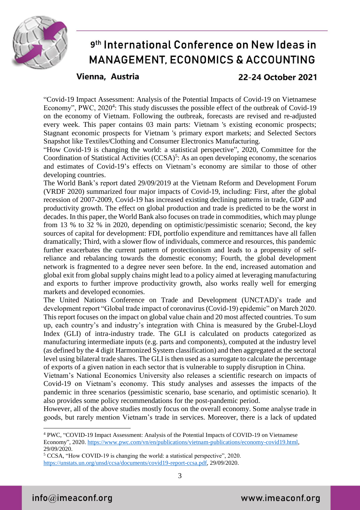

#### Vienna, Austria

22-24 October 2021

"Covid-19 Impact Assessment: Analysis of the Potential Impacts of Covid-19 on Vietnamese Economy", PWC, 2020<sup>4</sup>: This study discusses the possible effect of the outbreak of Covid-19 on the economy of Vietnam. Following the outbreak, forecasts are revised and re-adjusted every week. This paper contains 03 main parts: Vietnam 's existing economic prospects; Stagnant economic prospects for Vietnam 's primary export markets; and Selected Sectors Snapshot like Textiles/Clothing and Consumer Electronics Manufacturing.

"How Covid-19 is changing the world: a statistical perspective", 2020, Committee for the Coordination of Statistical Activities  $(CCSA)<sup>5</sup>$ : As an open developing economy, the scenarios and estimates of Covid-19's effects on Vietnam's economy are similar to those of other developing countries.

The World Bank's report dated 29/09/2019 at the Vietnam Reform and Development Forum (VRDF 2020) summarized four major impacts of Covid-19, including: First, after the global recession of 2007-2009, Covid-19 has increased existing declining patterns in trade, GDP and productivity growth. The effect on global production and trade is predicted to be the worst in decades. In this paper, the World Bank also focuses on trade in commodities, which may plunge from 13 % to 32 % in 2020, depending on optimistic/pessimistic scenario; Second, the key sources of capital for development: FDI, portfolio expenditure and remittances have all fallen dramatically; Third, with a slower flow of individuals, commerce and resources, this pandemic further exacerbates the current pattern of protectionism and leads to a propensity of selfreliance and rebalancing towards the domestic economy; Fourth, the global development network is fragmented to a degree never seen before. In the end, increased automation and global exit from global supply chains might lead to a policy aimed at leveraging manufacturing and exports to further improve productivity growth, also works really well for emerging markets and developed economies.

The United Nations Conference on Trade and Development (UNCTAD)'s trade and development report "Global trade impact of coronavirus (Covid-19) epidemic" on March 2020. This report focuses on the impact on global value chain and 20 most affected countries. To sum up, each country's and industry's integration with China is measured by the Grubel-Lloyd Index (GLI) of intra-industry trade. The GLI is calculated on products categorized as manufacturing intermediate inputs (e.g. parts and components), computed at the industry level (as defined by the 4 digit Harmonized System classification) and then aggregated at the sectoral level using bilateral trade shares. The GLI is then used as a surrogate to calculate the percentage of exports of a given nation in each sector that is vulnerable to supply disruption in China.

Vietnam's National Economics University also releases a scientific research on impacts of Covid-19 on Vietnam's economy. This study analyses and assesses the impacts of the pandemic in three scenarios (pessimistic scenario, base scenario, and optimistic scenario). It also provides some policy recommendations for the post-pandemic period.

However, all of the above studies mostly focus on the overall economy. Some analyse trade in goods, but rarely mention Vietnam's trade in services. Moreover, there is a lack of updated

<u>.</u>

<sup>4</sup> PWC, "COVID-19 Impact Assessment: Analysis of the Potential Impacts of COVID-19 on Vietnamese Economy", 2020. [https://www.pwc.com/vn/en/publications/vietnam-publications/economy-covid19.html,](https://www.pwc.com/vn/en/publications/vietnam-publications/economy-covid19.html) 29/09/2020.

<sup>5</sup> CCSA, "How COVID-19 is changing the world: a statistical perspective", 2020. [https://unstats.un.org/unsd/ccsa/documents/covid19-report-ccsa.pdf,](https://unstats.un.org/unsd/ccsa/documents/covid19-report-ccsa.pdf) 29/09/2020.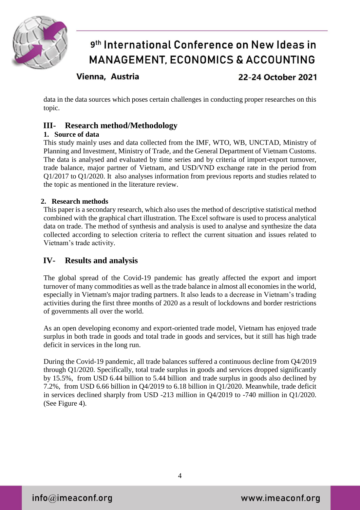

Vienna, Austria

22-24 October 2021

data in the data sources which poses certain challenges in conducting proper researches on this topic.

### **III- Research method/Methodology**

#### **1. Source of data**

This study mainly uses and data collected from the IMF, WTO, WB, UNCTAD, Ministry of Planning and Investment, Ministry of Trade, and the General Department of Vietnam Customs. The data is analysed and evaluated by time series and by criteria of import-export turnover, trade balance, major partner of Vietnam, and USD/VND exchange rate in the period from Q1/2017 to Q1/2020. It also analyses information from previous reports and studies related to the topic as mentioned in the literature review.

#### **2. Research methods**

This paper is a secondary research, which also uses the method of descriptive statistical method combined with the graphical chart illustration. The Excel software is used to process analytical data on trade. The method of synthesis and analysis is used to analyse and synthesize the data collected according to selection criteria to reflect the current situation and issues related to Vietnam's trade activity.

#### **IV- Results and analysis**

The global spread of the Covid-19 pandemic has greatly affected the export and import turnover of many commodities as well as the trade balance in almost all economies in the world, especially in Vietnam's major trading partners. It also leads to a decrease in Vietnam's trading activities during the first three months of 2020 as a result of lockdowns and border restrictions of governments all over the world.

As an open developing economy and export-oriented trade model, Vietnam has enjoyed trade surplus in both trade in goods and total trade in goods and services, but it still has high trade deficit in services in the long run.

During the Covid-19 pandemic, all trade balances suffered a continuous decline from Q4/2019 through Q1/2020. Specifically, total trade surplus in goods and services dropped significantly by 15.5%, from USD 6.44 billion to 5.44 billion and trade surplus in goods also declined by 7.2%, from USD 6.66 billion in Q4/2019 to 6.18 billion in Q1/2020. Meanwhile, trade deficit in services declined sharply from USD -213 million in Q4/2019 to -740 million in Q1/2020. (See Figure 4).

 $info@$ imeaconf.org

www.imeaconf.org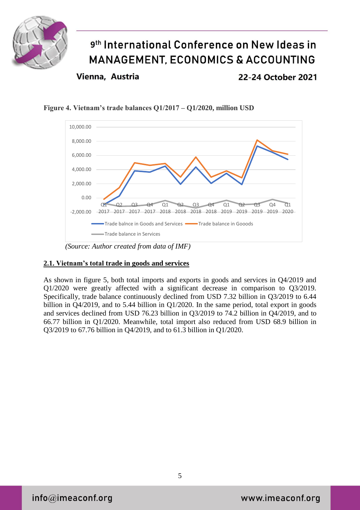

Vienna, Austria

22-24 October 2021





*(Source: Author created from data of IMF)*

#### **2.1. Vietnam's total trade in goods and services**

As shown in figure 5, both total imports and exports in goods and services in Q4/2019 and Q1/2020 were greatly affected with a significant decrease in comparison to Q3/2019. Specifically, trade balance continuously declined from USD 7.32 billion in Q3/2019 to 6.44 billion in Q4/2019, and to 5.44 billion in Q1/2020. In the same period, total export in goods and services declined from USD 76.23 billion in Q3/2019 to 74.2 billion in Q4/2019, and to 66.77 billion in Q1/2020. Meanwhile, total import also reduced from USD 68.9 billion in Q3/2019 to 67.76 billion in Q4/2019, and to 61.3 billion in Q1/2020.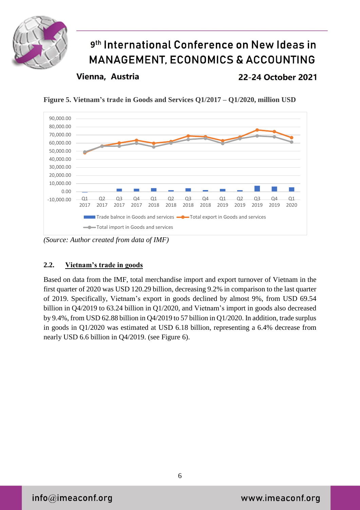

Vienna, Austria

22-24 October 2021

**Figure 5. Vietnam's trade in Goods and Services Q1/2017 – Q1/2020, million USD**



*(Source: Author created from data of IMF)*

### **2.2. Vietnam's trade in goods**

Based on data from the IMF, total merchandise import and export turnover of Vietnam in the first quarter of 2020 was USD 120.29 billion, decreasing 9.2% in comparison to the last quarter of 2019. Specifically, Vietnam's export in goods declined by almost 9%, from USD 69.54 billion in Q4/2019 to 63.24 billion in Q1/2020, and Vietnam's import in goods also decreased by 9.4%, from USD 62.88 billion in Q4/2019 to 57 billion in Q1/2020. In addition, trade surplus in goods in Q1/2020 was estimated at USD 6.18 billion, representing a 6.4% decrease from nearly USD 6.6 billion in Q4/2019. (see Figure 6).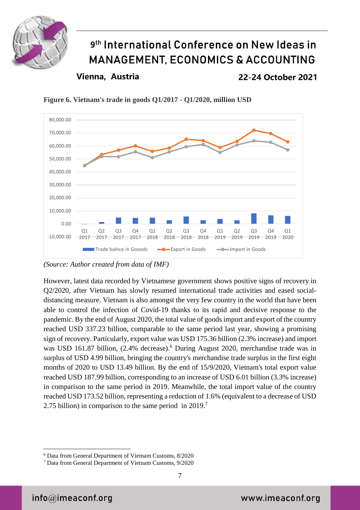

Vienna, Austria

22-24 October 2021



**Figure 6. Vietnam's trade in goods Q1/2017 - Q1/2020, million USD**

However, latest data recorded by Vietnamese government shows positive signs of recovery in Q2/2020, after Vietnam has slowly resumed international trade activities and eased socialdistancing measure. Vietnam is also amongst the very few country in the world that have been able to control the infection of Covid-19 thanks to its rapid and decisive response to the pandemic. By the end of August 2020, the total value of goods import and export of the country reached USD 337.23 billion, comparable to the same period last year, showing a promising sign of recovery. Particularly, export value was USD 175.36 billion (2.3% increase) and import was USD 161.87 billion, (2.4% decrease). <sup>6</sup> During August 2020, merchandise trade was in surplus of USD 4.99 billion, bringing the country's merchandise trade surplus in the first eight months of 2020 to USD 13.49 billion. By the end of 15/9/2020, Vietnam's total export value reached USD 187.99 billion, corresponding to an increase of USD 6.01 billion (3.3% increase) in comparison to the same period in 2019. Meanwhile, the total import value of the country reached USD 173.52 billion, representing a reduction of 1.6% (equivalent to a decrease of USD 2.75 billion) in comparison to the same period in 2019.<sup>7</sup>

*<sup>(</sup>Source: Author created from data of IMF)*

<sup>1</sup> <sup>6</sup> Data from General Department of Vietnam Customs, 8/2020

<sup>7</sup> Data from General Department of Vietnam Customs, 9/2020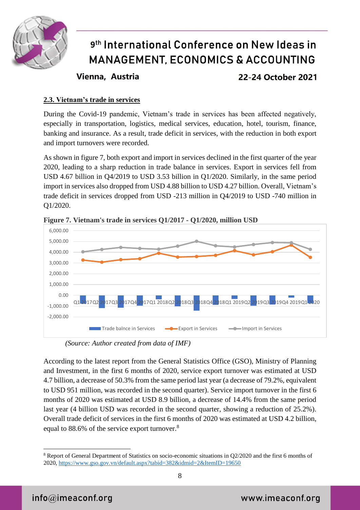

Vienna, Austria

22-24 October 2021

### **2.3. Vietnam's trade in services**

During the Covid-19 pandemic, Vietnam's trade in services has been affected negatively, especially in transportation, logistics, medical services, education, hotel, tourism, finance, banking and insurance. As a result, trade deficit in services, with the reduction in both export and import turnovers were recorded.

As shown in figure 7, both export and import in services declined in the first quarter of the year 2020, leading to a sharp reduction in trade balance in services. Export in services fell from USD 4.67 billion in Q4/2019 to USD 3.53 billion in Q1/2020. Similarly, in the same period import in services also dropped from USD 4.88 billion to USD 4.27 billion. Overall, Vietnam's trade deficit in services dropped from USD -213 million in Q4/2019 to USD -740 million in Q1/2020.



**Figure 7. Vietnam's trade in services Q1/2017 - Q1/2020, million USD**

*(Source: Author created from data of IMF)*

According to the latest report from the General Statistics Office (GSO), Ministry of Planning and Investment, in the first 6 months of 2020, service export turnover was estimated at USD 4.7 billion, a decrease of 50.3% from the same period last year (a decrease of 79.2%, equivalent to USD 951 million, was recorded in the second quarter). Service import turnover in the first 6 months of 2020 was estimated at USD 8.9 billion, a decrease of 14.4% from the same period last year (4 billion USD was recorded in the second quarter, showing a reduction of 25.2%). Overall trade deficit of services in the first 6 months of 2020 was estimated at USD 4.2 billion, equal to 88.6% of the service export turnover.<sup>8</sup>

<sup>1</sup> <sup>8</sup> Report of General Department of Statistics on socio-economic situations in Q2/2020 and the first 6 months of 2020,<https://www.gso.gov.vn/default.aspx?tabid=382&idmid=2&ItemID=19650>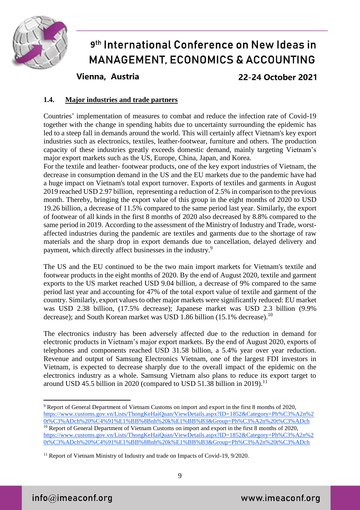

Vienna, Austria

22-24 October 2021

#### **1.4. Major industries and trade partners**

Countries' implementation of measures to combat and reduce the infection rate of Covid-19 together with the change in spending habits due to uncertainty surrounding the epidemic has led to a steep fall in demands around the world. This will certainly affect Vietnam's key export industries such as electronics, textiles, leather-footwear, furniture and others. The production capacity of these industries greatly exceeds domestic demand, mainly targeting Vietnam's major export markets such as the US, Europe, China, Japan, and Korea.

For the textile and leather- footwear products, one of the key export industries of Vietnam, the decrease in consumption demand in the US and the EU markets due to the pandemic have had a huge impact on Vietnam's total export turnover. Exports of textiles and garments in August 2019 reached USD 2.97 billion, representing a reduction of 2.5% in comparison to the previous month. Thereby, bringing the export value of this group in the eight months of 2020 to USD 19.26 billion, a decrease of 11.5% compared to the same period last year. Similarly, the export of footwear of all kinds in the first 8 months of 2020 also decreased by 8.8% compared to the same period in 2019. According to the assessment of the Ministry of Industry and Trade, worstaffected industries during the pandemic are textiles and garments due to the shortage of raw materials and the sharp drop in export demands due to cancellation, delayed delivery and payment, which directly affect businesses in the industry.<sup>9</sup>

The US and the EU continued to be the two main import markets for Vietnam's textile and footwear products in the eight months of 2020. By the end of August 2020, textile and garment exports to the US market reached USD 9.04 billion, a decrease of 9% compared to the same period last year and accounting for 47% of the total export value of textile and garment of the country. Similarly, export values to other major markets were significantly reduced: EU market was USD 2.38 billion, (17.5% decrease); Japanese market was USD 2.3 billion (9.9% decrease); and South Korean market was USD 1.86 billion (15.1% decrease).<sup>10</sup>

The electronics industry has been adversely affected due to the reduction in demand for electronic products in Vietnam's major export markets. By the end of August 2020, exports of telephones and components reached USD 31.58 billion, a 5.4% year over year reduction. Revenue and output of Samsung Electronics Vietnam, one of the largest FDI investors in Vietnam, is expected to decrease sharply due to the overall impact of the epidemic on the electronics industry as a whole. Samsung Vietnam also plans to reduce its export target to around USD 45.5 billion in 2020 (compared to USD 51.38 billion in 2019).<sup>11</sup>

<u>.</u>

<sup>9</sup> Report of General Department of Vietnam Customs on import and export in the first 8 months of 2020, [https://www.customs.gov.vn/Lists/ThongKeHaiQuan/ViewDetails.aspx?ID=1852&Category=Ph%C3%A2n%2](https://www.customs.gov.vn/Lists/ThongKeHaiQuan/ViewDetails.aspx?ID=1852&Category=Ph%C3%A2n%20t%C3%ADch%20%C4%91%E1%BB%8Bnh%20k%E1%BB%B3&Group=Ph%C3%A2n%20t%C3%ADch) [0t%C3%ADch%20%C4%91%E1%BB%8Bnh%20k%E1%BB%B3&Group=Ph%C3%A2n%20t%C3%ADch](https://www.customs.gov.vn/Lists/ThongKeHaiQuan/ViewDetails.aspx?ID=1852&Category=Ph%C3%A2n%20t%C3%ADch%20%C4%91%E1%BB%8Bnh%20k%E1%BB%B3&Group=Ph%C3%A2n%20t%C3%ADch) <sup>10</sup> Report of General Department of Vietnam Customs on import and export in the first 8 months of 2020, [https://www.customs.gov.vn/Lists/ThongKeHaiQuan/ViewDetails.aspx?ID=1852&Category=Ph%C3%A2n%2](https://www.customs.gov.vn/Lists/ThongKeHaiQuan/ViewDetails.aspx?ID=1852&Category=Ph%C3%A2n%20t%C3%ADch%20%C4%91%E1%BB%8Bnh%20k%E1%BB%B3&Group=Ph%C3%A2n%20t%C3%ADch) [0t%C3%ADch%20%C4%91%E1%BB%8Bnh%20k%E1%BB%B3&Group=Ph%C3%A2n%20t%C3%ADch](https://www.customs.gov.vn/Lists/ThongKeHaiQuan/ViewDetails.aspx?ID=1852&Category=Ph%C3%A2n%20t%C3%ADch%20%C4%91%E1%BB%8Bnh%20k%E1%BB%B3&Group=Ph%C3%A2n%20t%C3%ADch)

 $11$  Report of Vietnam Ministry of Industry and trade on Impacts of Covid-19, 9/2020.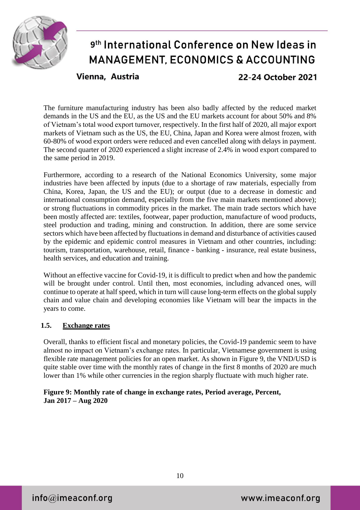

Vienna, Austria

22-24 October 2021

The furniture manufacturing industry has been also badly affected by the reduced market demands in the US and the EU, as the US and the EU markets account for about 50% and 8% of Vietnam's total wood export turnover, respectively. In the first half of 2020, all major export markets of Vietnam such as the US, the EU, China, Japan and Korea were almost frozen, with 60-80% of wood export orders were reduced and even cancelled along with delays in payment. The second quarter of 2020 experienced a slight increase of 2.4% in wood export compared to the same period in 2019.

Furthermore, according to a research of the National Economics University, some major industries have been affected by inputs (due to a shortage of raw materials, especially from China, Korea, Japan, the US and the EU); or output (due to a decrease in domestic and international consumption demand, especially from the five main markets mentioned above); or strong fluctuations in commodity prices in the market. The main trade sectors which have been mostly affected are: textiles, footwear, paper production, manufacture of wood products, steel production and trading, mining and construction. In addition, there are some service sectors which have been affected by fluctuations in demand and disturbance of activities caused by the epidemic and epidemic control measures in Vietnam and other countries, including: tourism, transportation, warehouse, retail, finance - banking - insurance, real estate business, health services, and education and training.

Without an effective vaccine for Covid-19, it is difficult to predict when and how the pandemic will be brought under control. Until then, most economies, including advanced ones, will continue to operate at half speed, which in turn will cause long-term effects on the global supply chain and value chain and developing economies like Vietnam will bear the impacts in the years to come.

#### **1.5. Exchange rates**

Overall, thanks to efficient fiscal and monetary policies, the Covid-19 pandemic seem to have almost no impact on Vietnam's exchange rates. In particular, Vietnamese government is using flexible rate management policies for an open market. As shown in Figure 9, the VND/USD is quite stable over time with the monthly rates of change in the first 8 months of 2020 are much lower than 1% while other currencies in the region sharply fluctuate with much higher rate.

#### **Figure 9: Monthly rate of change in exchange rates, Period average, Percent, Jan 2017 – Aug 2020**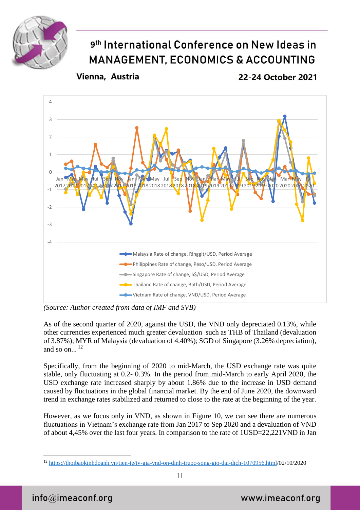

Vienna, Austria

22-24 October 2021



*(Source: Author created from data of IMF and SVB)*

As of the second quarter of 2020, against the USD, the VND only depreciated 0.13%, while other currencies experienced much greater devaluation such as THB of Thailand (devaluation of 3.87%); MYR of Malaysia (devaluation of 4.40%); SGD of Singapore (3.26% depreciation), and so on... 12

Specifically, from the beginning of 2020 to mid-March, the USD exchange rate was quite stable, only fluctuating at 0.2- 0.3%. In the period from mid-March to early April 2020, the USD exchange rate increased sharply by about 1.86% due to the increase in USD demand caused by fluctuations in the global financial market. By the end of June 2020, the downward trend in exchange rates stabilized and returned to close to the rate at the beginning of the year.

However, as we focus only in VND, as shown in Figure 10, we can see there are numerous fluctuations in Vietnam's exchange rate from Jan 2017 to Sep 2020 and a devaluation of VND of about 4,45% over the last four years. In comparison to the rate of 1USD=22,221VND in Jan

1

<sup>12</sup> [https://thoibaokinhdoanh.vn/tien-te/ty-gia-vnd-on-dinh-truoc-song-gio-dai-dich-1070956.html/](https://thoibaokinhdoanh.vn/tien-te/ty-gia-vnd-on-dinh-truoc-song-gio-dai-dich-1070956.html)02/10/2020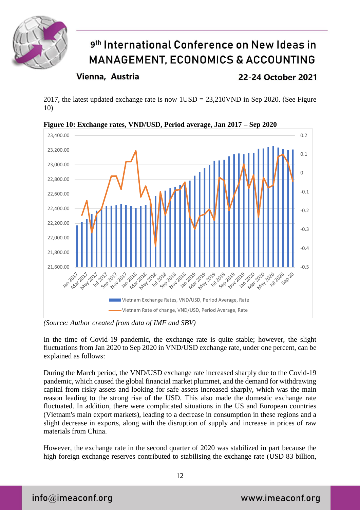

### Vienna, Austria

22-24 October 2021

2017, the latest updated exchange rate is now 1USD = 23,210VND in Sep 2020. (See Figure 10)



**Figure 10: Exchange rates, VND/USD, Period average, Jan 2017 – Sep 2020**

*(Source: Author created from data of IMF and SBV)*

In the time of Covid-19 pandemic, the exchange rate is quite stable; however, the slight fluctuations from Jan 2020 to Sep 2020 in VND/USD exchange rate, under one percent, can be explained as follows:

During the March period, the VND/USD exchange rate increased sharply due to the Covid-19 pandemic, which caused the global financial market plummet, and the demand for withdrawing capital from risky assets and looking for safe assets increased sharply, which was the main reason leading to the strong rise of the USD. This also made the domestic exchange rate fluctuated. In addition, there were complicated situations in the US and European countries (Vietnam's main export markets), leading to a decrease in consumption in these regions and a slight decrease in exports, along with the disruption of supply and increase in prices of raw materials from China.

However, the exchange rate in the second quarter of 2020 was stabilized in part because the high foreign exchange reserves contributed to stabilising the exchange rate (USD 83 billion,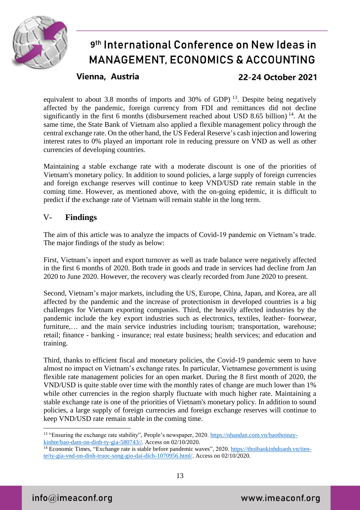

Vienna, Austria

22-24 October 2021

equivalent to about 3.8 months of imports and 30% of GDP)  $^{13}$ . Despite being negatively affected by the pandemic, foreign currency from FDI and remittances did not decline significantly in the first 6 months (disbursement reached about USD 8.65 billion)  $14$ . At the same time, the State Bank of Vietnam also applied a flexible management policy through the central exchange rate. On the other hand, the US Federal Reserve's cash injection and lowering interest rates to 0% played an important role in reducing pressure on VND as well as other currencies of developing countries.

Maintaining a stable exchange rate with a moderate discount is one of the priorities of Vietnam's monetary policy. In addition to sound policies, a large supply of foreign currencies and foreign exchange reserves will continue to keep VND/USD rate remain stable in the coming time. However, as mentioned above, with the on-going epidemic, it is difficult to predict if the exchange rate of Vietnam will remain stable in the long term.

### V- **Findings**

The aim of this article was to analyze the impacts of Covid-19 pandemic on Vietnam's trade. The major findings of the study as below:

First, Vietnam's inport and export turnover as well as trade balance were negatively affected in the first 6 months of 2020. Both trade in goods and trade in services had decline from Jan 2020 to June 2020. However, the recovery was clearly recorded from June 2020 to present.

Second, Vietnam's major markets, including the US, Europe, China, Japan, and Korea, are all affected by the pandemic and the increase of protectionism in developed countries is a big challenges for Vietnam exporting companies. Third, the heavily affected industries by the pandemic include the key export industries such as electronics, textiles, leather- foorwear, furniture,... and the main service industries including tourism; transportation, warehouse; retail; finance - banking - insurance; real estate business; health services; and education and training.

Third, thanks to efficient fiscal and monetary policies, the Covid-19 pandemic seem to have almost no impact on Vietnam's exchange rates. In particular, Vietnamese government is using flexible rate management policies for an open market. During the 8 first month of 2020, the VND/USD is quite stable over time with the monthly rates of change are much lower than 1% while other currencies in the region sharply fluctuate with much higher rate. Maintaining a stable exchange rate is one of the priorities of Vietnam's monetary policy. In addition to sound policies, a large supply of foreign currencies and foreign exchange reserves will continue to keep VND/USD rate remain stable in the coming time.

<u>.</u>

<sup>13</sup> "Ensuring the exchange rate stability", People's newspaper, 2020. [https://nhandan.com.vn/baothoinay](https://nhandan.com.vn/baothoinay-kinhte/bao-dam-on-dinh-ty-gia-580743/)[kinhte/bao-dam-on-dinh-ty-gia-580743//.](https://nhandan.com.vn/baothoinay-kinhte/bao-dam-on-dinh-ty-gia-580743/) Access on 02/10/2020.

<sup>&</sup>lt;sup>14</sup> Economic Times, "Exchange rate is stable before pandemic waves", 2020[. https://thoibaokinhdoanh.vn/tien](https://thoibaokinhdoanh.vn/tien-te/ty-gia-vnd-on-dinh-truoc-song-gio-dai-dich-1070956.html/)[te/ty-gia-vnd-on-dinh-truoc-song-gio-dai-dich-1070956.html/.](https://thoibaokinhdoanh.vn/tien-te/ty-gia-vnd-on-dinh-truoc-song-gio-dai-dich-1070956.html/) Access on 02/10/2020.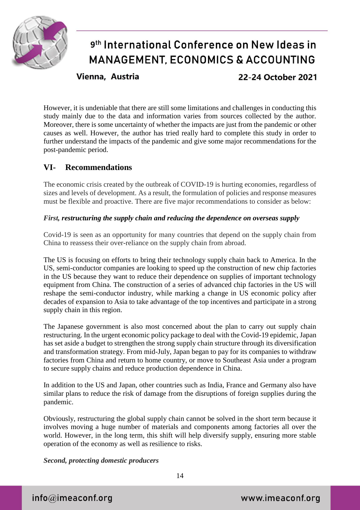

Vienna, Austria

22-24 October 2021

However, it is undeniable that there are still some limitations and challenges in conducting this study mainly due to the data and information varies from sources collected by the author. Moreover, there is some uncertainty of whether the impacts are just from the pandemic or other causes as well. However, the author has tried really hard to complete this study in order to further understand the impacts of the pandemic and give some major recommendations for the post-pandemic period.

### **VI- Recommendations**

The economic crisis created by the outbreak of COVID-19 is hurting economies, regardless of sizes and levels of development. As a result, the formulation of policies and response measures must be flexible and proactive. There are five major recommendations to consider as below:

#### *First, restructuring the supply chain and reducing the dependence on overseas supply*

Covid-19 is seen as an opportunity for many countries that depend on the supply chain from China to reassess their over-reliance on the supply chain from abroad.

The US is focusing on efforts to bring their technology supply chain back to America. In the US, semi-conductor companies are looking to speed up the construction of new chip factories in the US because they want to reduce their dependence on supplies of important technology equipment from China. The construction of a series of advanced chip factories in the US will reshape the semi-conductor industry, while marking a change in US economic policy after decades of expansion to Asia to take advantage of the top incentives and participate in a strong supply chain in this region.

The Japanese government is also most concerned about the plan to carry out supply chain restructuring. In the urgent economic policy package to deal with the Covid-19 epidemic, Japan has set aside a budget to strengthen the strong supply chain structure through its diversification and transformation strategy. From mid-July, Japan began to pay for its companies to withdraw factories from China and return to home country, or move to Southeast Asia under a program to secure supply chains and reduce production dependence in China.

In addition to the US and Japan, other countries such as India, France and Germany also have similar plans to reduce the risk of damage from the disruptions of foreign supplies during the pandemic.

Obviously, restructuring the global supply chain cannot be solved in the short term because it involves moving a huge number of materials and components among factories all over the world. However, in the long term, this shift will help diversify supply, ensuring more stable operation of the economy as well as resilience to risks.

*Second, protecting domestic producers*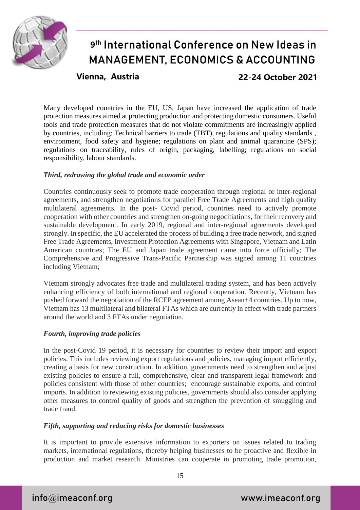

Vienna, Austria

22-24 October 2021

Many developed countries in the EU, US, Japan have increased the application of trade protection measures aimed at protecting production and protecting domestic consumers. Useful tools and trade protection measures that do not violate commitments are increasingly applied by countries, including: Technical barriers to trade (TBT), regulations and quality standards , environment, food safety and hygiene; regulations on plant and animal quarantine (SPS); regulations on traceability, rules of origin, packaging, labelling; regulations on social responsibility, labour standards.

#### *Third, redrawing the global trade and economic order*

Countries continuously seek to promote trade cooperation through regional or inter-regional agreements, and strengthen negotiations for parallel Free Trade Agreements and high quality multilateral agreements. In the post- Covid period, countries need to actively promote cooperation with other countries and strengthen on-going negocitiations, for their recovery and sustainable development. In early 2019, regional and inter-regional agreements developed strongly. In specific, the EU accelerated the process of building a free trade network, and signed Free Trade Agreements, Investment Protection Agreements with Singapore, Vietnam and Latin American countries; The EU and Japan trade agreement came into force officially; The Comprehensive and Progressive Trans-Pacific Partnership was signed among 11 countries including Vietnam;

Vietnam strongly advocates free trade and multilateral trading system, and has been actively enhancing efficiency of both international and regional cooperation. Recently, Vietnam has pushed forward the negotiation of the RCEP agreement among Asean+4 countries. Up to now, Vietnam has 13 multilateral and bilateral FTAs which are currently in effect with trade partners around the world and 3 FTAs under negotiation.

#### *Fourth, improving trade policies*

In the post-Covid 19 period, it is necessary for countries to review their import and export policies. This includes reviewing export regulations and policies, managing import efficiently, creating a basis for new construction. In addition, governments need to strengthen and adjust existing policies to ensure a full, comprehensive, clear and transparent legal framework and policies consistent with those of other countries; encourage sustainable exports, and control imports. In addition to reviewing existing policies, governments should also consider applying other measures to control quality of goods and strengthen the prevention of smuggling and trade fraud.

#### *Fifth, supporting and reducing risks for domestic businesses*

It is important to provide extensive information to exporters on issues related to trading markets, international regulations, thereby helping businesses to be proactive and flexible in production and market research. Ministries can cooperate in promoting trade promotion,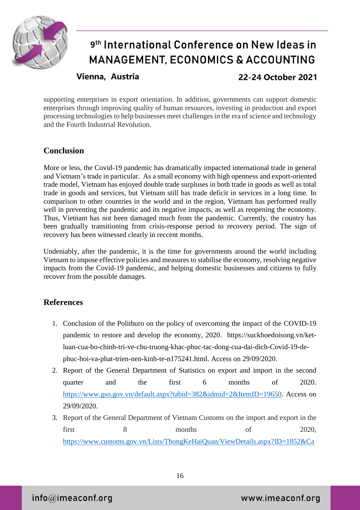

Vienna, Austria

22-24 October 2021

supporting enterprises in export orientation. In addition, governments can support domestic enterprises through improving quality of human resources, investing in production and export processing technologies to help businesses meet challenges in the era of science and technology and the Fourth Industrial Revolution.

### **Conclusion**

More or less, the Covid-19 pandemic has dramatically impacted international trade in general and Vietnam's trade in particular. As a small economy with high openness and export-oriented trade model, Vietnam has enjoyed double trade surpluses in both trade in goods as well as total trade in goods and services, but Vietnam still has trade deficit in services in a long time. In comparison to other countries in the world and in the region, Vietnam has performed really well in preventing the pandemic and its negative impacts, as well as reopening the economy. Thus, Vietnam has not been damaged much from the pandemic. Currently, the country has been gradually transitioning from crisis-response period to recovery period. The sign of recovery has been witnessed clearly in reccent months.

Undeniably, after the pandemic, it is the time for governments around the world including Vietnam to impose effective policies and measures to stabilise the economy, resolving negative impacts from the Covid-19 pandemic, and helping domestic businesses and citizens to fully recover from the possible damages.

### **References**

- 1. Conclusion of the Politburo on the policy of overcoming the impact of the COVID-19 pandemic to restore and develop the economy, 2020. [https://suckhoedoisong.vn/ket](https://suckhoedoisong.vn/ket-luan-cua-bo-chinh-tri-ve-chu-truong-khac-phuc-tac-dong-cua-dai-dich-covid-19-de-phuc-hoi-va-phat-trien-nen-kinh-te-n175241.html)[luan-cua-bo-chinh-tri-ve-chu-truong-khac-phuc-tac-dong-cua-dai-dich-Covid-19-de](https://suckhoedoisong.vn/ket-luan-cua-bo-chinh-tri-ve-chu-truong-khac-phuc-tac-dong-cua-dai-dich-covid-19-de-phuc-hoi-va-phat-trien-nen-kinh-te-n175241.html)[phuc-hoi-va-phat-trien-nen-kinh-te-n175241.html.](https://suckhoedoisong.vn/ket-luan-cua-bo-chinh-tri-ve-chu-truong-khac-phuc-tac-dong-cua-dai-dich-covid-19-de-phuc-hoi-va-phat-trien-nen-kinh-te-n175241.html) Access on 29/09/2020.
- 2. Report of the General Department of Statistics on export and import in the second quarter and the first 6 months of 2020. [https://www.gso.gov.vn/default.aspx?tabid=382&idmid=2&ItemID=19650.](https://www.gso.gov.vn/default.aspx?tabid=382&idmid=2&ItemID=19650) Access on 29/09/2020.
- 3. Report of the General Department of Vietnam Customs on the import and export in the first 8 months of 2020, [https://www.customs.gov.vn/Lists/ThongKeHaiQuan/ViewDetails.aspx?ID=1852&Ca](https://www.customs.gov.vn/Lists/ThongKeHaiQuan/ViewDetails.aspx?ID=1852&Category=Ph%C3%A2n%20t%C3%ADch%20%C4%91%E1%BB%8Bnh%20k%E1%BB%B3&Group=Ph%C3%A2n%20t%C3%ADch)

16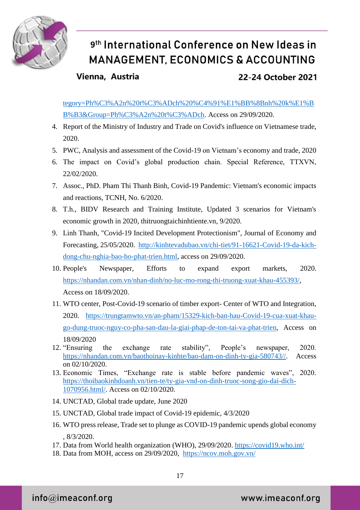

### Vienna, Austria

### 22-24 October 2021

[tegory=Ph%C3%A2n%20t%C3%ADch%20%C4%91%E1%BB%8Bnh%20k%E1%B](https://www.customs.gov.vn/Lists/ThongKeHaiQuan/ViewDetails.aspx?ID=1852&Category=Ph%C3%A2n%20t%C3%ADch%20%C4%91%E1%BB%8Bnh%20k%E1%BB%B3&Group=Ph%C3%A2n%20t%C3%ADch) [B%B3&Group=Ph%C3%A2n%20t%C3%ADch.](https://www.customs.gov.vn/Lists/ThongKeHaiQuan/ViewDetails.aspx?ID=1852&Category=Ph%C3%A2n%20t%C3%ADch%20%C4%91%E1%BB%8Bnh%20k%E1%BB%B3&Group=Ph%C3%A2n%20t%C3%ADch) Access on 29/09/2020.

- 4. Report of the Ministry of Industry and Trade on Covid's influence on Vietnamese trade, 2020.
- 5. PWC, Analysis and assessment of the Covid-19 on Vietnam's economy and trade, 2020
- 6. The impact on Covid's global production chain. Special Reference, TTXVN, 22/02/2020.
- 7. Assoc., PhD. Pham Thi Thanh Binh, Covid-19 Pandemic: Vietnam's economic impacts and reactions, TCNH, No. 6/2020.
- 8. T.h., BIDV Research and Training Institute, Updated 3 scenarios for Vietnam's economic growth in 2020, thitruongtaichinhtiente.vn, 9/2020.
- 9. Linh Thanh, "Covid-19 Incited Development Protectionism", Journal of Economy and Forecasting, 25/05/2020. [http://kinhtevadubao.vn/chi-tiet/91-16621-Covid-19-da-kich](http://kinhtevadubao.vn/chi-tiet/91-16621-covid-19-da-kich-dong-chu-nghia-bao-ho-phat-trien.html)[dong-chu-nghia-bao-ho-phat-trien.html,](http://kinhtevadubao.vn/chi-tiet/91-16621-covid-19-da-kich-dong-chu-nghia-bao-ho-phat-trien.html) access on 29/09/2020.
- 10. People's Newspaper, Efforts to expand export markets, 2020. [https://nhandan.com.vn/nhan-dinh/no-luc-mo-rong-thi-truong-xuat-khau-455393/,](https://nhandan.com.vn/nhan-dinh/no-luc-mo-rong-thi-truong-xuat-khau-455393/) Access on 18/09/2020.
- 11. WTO center, Post-Covid-19 scenario of timber export- Center of WTO and Integration, 2020. [https://trungtamwto.vn/an-pham/15329-kich-ban-hau-Covid-19-cua-xuat-khau](https://trungtamwto.vn/an-pham/15329-kich-ban-hau-covid-19-cua-xuat-khau-go-dung-truoc-nguy-co-pha-san-dau-la-giai-phap-de-ton-tai-va-phat-trien)[go-dung-truoc-nguy-co-pha-san-dau-la-giai-phap-de-ton-tai-va-phat-trien,](https://trungtamwto.vn/an-pham/15329-kich-ban-hau-covid-19-cua-xuat-khau-go-dung-truoc-nguy-co-pha-san-dau-la-giai-phap-de-ton-tai-va-phat-trien) Access on 18/09/2020
- 12. "Ensuring the exchange rate stability", People's newspaper, 2020. [https://nhandan.com.vn/baothoinay-kinhte/bao-dam-on-dinh-ty-gia-580743//.](https://nhandan.com.vn/baothoinay-kinhte/bao-dam-on-dinh-ty-gia-580743/) Access on 02/10/2020.
- 13. Economic Times, "Exchange rate is stable before pandemic waves", 2020. [https://thoibaokinhdoanh.vn/tien-te/ty-gia-vnd-on-dinh-truoc-song-gio-dai-dich-](https://thoibaokinhdoanh.vn/tien-te/ty-gia-vnd-on-dinh-truoc-song-gio-dai-dich-1070956.html/)[1070956.html/.](https://thoibaokinhdoanh.vn/tien-te/ty-gia-vnd-on-dinh-truoc-song-gio-dai-dich-1070956.html/) Access on 02/10/2020.
- 14. UNCTAD, Global trade update, June 2020
- 15. UNCTAD, Global trade impact of Covid-19 epidemic, 4/3/2020
- 16. WTO press release, Trade set to plunge as COVID-19 pandemic upends global economy , 8/3/2020.
- 17. Data from World health organization (WHO), 29/09/2020. <https://covid19.who.int/>
- 18. Data from MOH, access on 29/09/2020, <https://ncov.moh.gov.vn/>